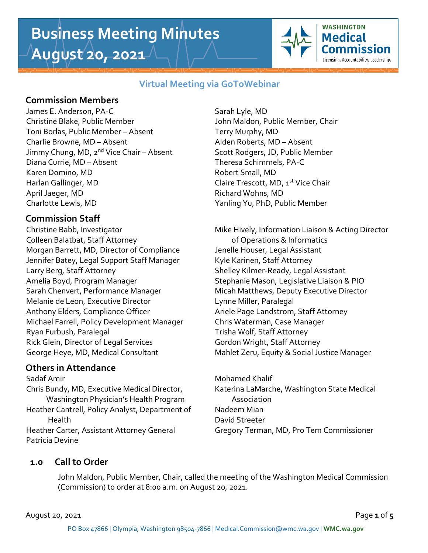# **Business Meeting Minutes August 20, 2021**



### **Virtual Meeting via GoToWebinar**

## **Commission Members**

James E. Anderson, PA-C Sarah Lyle, MD Christine Blake, Public Member John Maldon, Public Member, Chair Toni Borlas, Public Member – Absent Terry Murphy, MD Charlie Browne, MD – Absent Alden Roberts, MD – Absent Jimmy Chung, MD, 2<sup>nd</sup> Vice Chair – Absent Scott Rodgers, JD, Public Member Diana Currie, MD – Absent Theresa Schimmels, PA-C Karen Domino, MD **Robert Small**, MD Harlan Gallinger, MD Claire Trescott, MD, 1 st Vice Chair April Jaeger, MD Richard Wohns, MD Charlotte Lewis, MD Yanling Yu, PhD, Public Member

## **Commission Staff**

Colleen Balatbat, Staff Attorney **Exercise 20** of Operations & Informatics Morgan Barrett, MD, Director of Compliance Jenelle Houser, Legal Assistant Jennifer Batey, Legal Support Staff Manager Kyle Karinen, Staff Attorney Larry Berg, Staff Attorney The Shelley Kilmer-Ready, Legal Assistant Amelia Boyd, Program Manager Stephanie Mason, Legislative Liaison & PIO Sarah Chenvert, Performance Manager Micah Matthews, Deputy Executive Director Melanie de Leon, Executive Director Francisco Lynne Miller, Paralegal Anthony Elders, Compliance Officer Ariele Page Landstrom, Staff Attorney Michael Farrell, Policy Development Manager Chris Waterman, Case Manager Ryan Furbush, Paralegal Trisha Wolf, Staff Attorney Rick Glein, Director of Legal Services Gordon Wright, Staff Attorney George Heye, MD, Medical Consultant Mahlet Zeru, Equity & Social Justice Manager

## **Others in Attendance**

Sadaf Amir **Mohamed Khalif** Mohamed Khalif Chris Bundy, MD, Executive Medical Director, Katerina LaMarche, Washington State Medical Washington Physician's Health Program Massociation Heather Cantrell, Policy Analyst, Department of Nadeem Mian Health David Streeter Heather Carter, Assistant Attorney General Gregory Terman, MD, Pro Tem Commissioner Patricia Devine

Christine Babb, Investigator **Mike Hively, Information Liaison & Acting Director** 

## **1.0 Call to Order**

John Maldon, Public Member, Chair, called the meeting of the Washington Medical Commission (Commission) to order at 8:00 a.m. on August 20, 2021.

August 20, 2021 Page **1** of **5**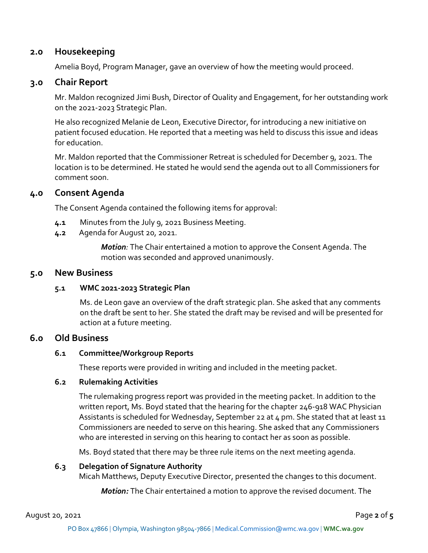#### **2.0 Housekeeping**

Amelia Boyd, Program Manager, gave an overview of how the meeting would proceed.

#### **3.0 Chair Report**

Mr. Maldon recognized Jimi Bush, Director of Quality and Engagement, for her outstanding work on the 2021-2023 Strategic Plan.

He also recognized Melanie de Leon, Executive Director, for introducing a new initiative on patient focused education. He reported that a meeting was held to discuss this issue and ideas for education.

Mr. Maldon reported that the Commissioner Retreat is scheduled for December 9, 2021. The location is to be determined. He stated he would send the agenda out to all Commissioners for comment soon.

#### **4.0 Consent Agenda**

The Consent Agenda contained the following items for approval:

- **4.1** Minutes from the July 9, 2021 Business Meeting.
- **4.2** Agenda for August 20, 2021.

*Motion:* The Chair entertained a motion to approve the Consent Agenda. The motion was seconded and approved unanimously.

#### **5.0 New Business**

#### **5.1 WMC 2021-2023 Strategic Plan**

Ms. de Leon gave an overview of the draft strategic plan. She asked that any comments on the draft be sent to her. She stated the draft may be revised and will be presented for action at a future meeting.

#### **6.0 Old Business**

#### **6.1 Committee/Workgroup Reports**

These reports were provided in writing and included in the meeting packet.

#### **6.2 Rulemaking Activities**

The rulemaking progress report was provided in the meeting packet. In addition to the written report, Ms. Boyd stated that the hearing for the chapter 246-918 WAC Physician Assistants is scheduled for Wednesday, September 22 at 4 pm. She stated that at least 11 Commissioners are needed to serve on this hearing. She asked that any Commissioners who are interested in serving on this hearing to contact her as soon as possible.

Ms. Boyd stated that there may be three rule items on the next meeting agenda.

#### **6.3 Delegation of Signature Authority**

Micah Matthews, Deputy Executive Director, presented the changes to this document.

*Motion:* The Chair entertained a motion to approve the revised document. The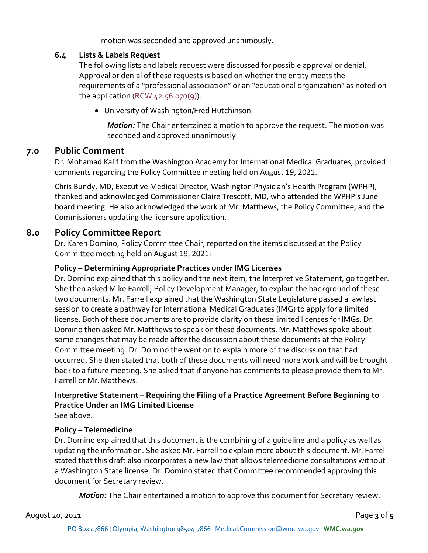motion was seconded and approved unanimously.

#### **6.4 Lists & Labels Request**

The following lists and labels request were discussed for possible approval or denial. Approval or denial of these requests is based on whether the entity meets the requirements of a "professional association" or an "educational organization" as noted on the application (RCW  $42.56.070(9)$ ).

• University of Washington/Fred Hutchinson

*Motion:* The Chair entertained a motion to approve the request. The motion was seconded and approved unanimously.

### **7.0 Public Comment**

Dr. Mohamad Kalif from the Washington Academy for International Medical Graduates, provided comments regarding the Policy Committee meeting held on August 19, 2021.

Chris Bundy, MD, Executive Medical Director, Washington Physician's Health Program (WPHP), thanked and acknowledged Commissioner Claire Trescott, MD, who attended the WPHP's June board meeting. He also acknowledged the work of Mr. Matthews, the Policy Committee, and the Commissioners updating the licensure application.

## **8.0 Policy Committee Report**

Dr. Karen Domino, Policy Committee Chair, reported on the items discussed at the Policy Committee meeting held on August 19, 2021:

#### **Policy – Determining Appropriate Practices under IMG Licenses**

Dr. Domino explained that this policy and the next item, the Interpretive Statement, go together. She then asked Mike Farrell, Policy Development Manager, to explain the background of these two documents. Mr. Farrell explained that the Washington State Legislature passed a law last session to create a pathway for International Medical Graduates (IMG) to apply for a limited license. Both of these documents are to provide clarity on these limited licenses for IMGs. Dr. Domino then asked Mr. Matthews to speak on these documents. Mr. Matthews spoke about some changes that may be made after the discussion about these documents at the Policy Committee meeting. Dr. Domino the went on to explain more of the discussion that had occurred. She then stated that both of these documents will need more work and will be brought back to a future meeting. She asked that if anyone has comments to please provide them to Mr. Farrell or Mr. Matthews.

## **Interpretive Statement – Requiring the Filing of a Practice Agreement Before Beginning to Practice Under an IMG Limited License**

See above.

#### **Policy – Telemedicine**

Dr. Domino explained that this document is the combining of a guideline and a policy as well as updating the information. She asked Mr. Farrell to explain more about this document. Mr. Farrell stated that this draft also incorporates a new law that allows telemedicine consultations without a Washington State license. Dr. Domino stated that Committee recommended approving this document for Secretary review.

*Motion:* The Chair entertained a motion to approve this document for Secretary review.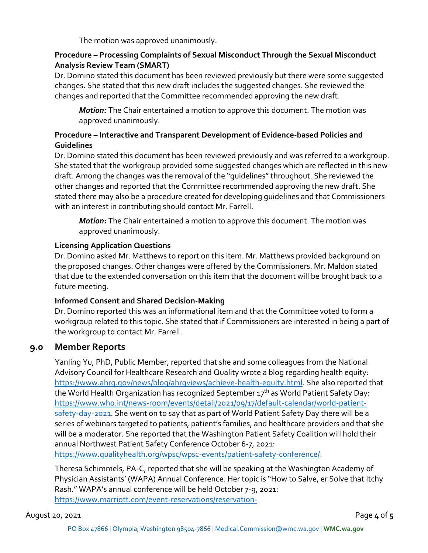The motion was approved unanimously.

#### **Procedure – Processing Complaints of Sexual Misconduct Through the Sexual Misconduct Analysis Review Team (SMART)**

Dr. Domino stated this document has been reviewed previously but there were some suggested changes. She stated that this new draft includes the suggested changes. She reviewed the changes and reported that the Committee recommended approving the new draft.

*Motion:* The Chair entertained a motion to approve this document. The motion was approved unanimously.

#### **Procedure – Interactive and Transparent Development of Evidence-based Policies and Guidelines**

Dr. Domino stated this document has been reviewed previously and was referred to a workgroup. She stated that the workgroup provided some suggested changes which are reflected in this new draft. Among the changes was the removal of the "guidelines" throughout. She reviewed the other changes and reported that the Committee recommended approving the new draft. She stated there may also be a procedure created for developing guidelines and that Commissioners with an interest in contributing should contact Mr. Farrell.

*Motion:* The Chair entertained a motion to approve this document. The motion was approved unanimously.

#### **Licensing Application Questions**

Dr. Domino asked Mr. Matthews to report on this item. Mr. Matthews provided background on the proposed changes. Other changes were offered by the Commissioners. Mr. Maldon stated that due to the extended conversation on this item that the document will be brought back to a future meeting.

#### **Informed Consent and Shared Decision-Making**

Dr. Domino reported this was an informational item and that the Committee voted to form a workgroup related to this topic. She stated that if Commissioners are interested in being a part of the workgroup to contact Mr. Farrell.

## **9.0 Member Reports**

Yanling Yu, PhD, Public Member, reported that she and some colleagues from the National Advisory Council for Healthcare Research and Quality wrote a blog regarding health equity: [https://www.ahrq.gov/news/blog/ahrqviews/achieve-health-equity.html.](https://www.ahrq.gov/news/blog/ahrqviews/achieve-health-equity.html) She also reported that the World Health Organization has recognized September 17<sup>th</sup> as World Patient Safety Day: [https://www.who.int/news-room/events/detail/2021/09/17/default-calendar/world-patient](https://www.who.int/news-room/events/detail/2021/09/17/default-calendar/world-patient-safety-day-2021)[safety-day-2021.](https://www.who.int/news-room/events/detail/2021/09/17/default-calendar/world-patient-safety-day-2021) She went on to say that as part of World Patient Safety Day there will be a series of webinars targeted to patients, patient's families, and healthcare providers and that she will be a moderator. She reported that the Washington Patient Safety Coalition will hold their annual Northwest Patient Safety Conference October 6-7, 2021:

[https://www.qualityhealth.org/wpsc/wpsc-events/patient-safety-conference/.](https://www.qualityhealth.org/wpsc/wpsc-events/patient-safety-conference/)

Theresa Schimmels, PA-C, reported that she will be speaking at the Washington Academy of Physician Assistants' (WAPA) Annual Conference. Her topic is "How to Salve, er Solve that Itchy Rash." WAPA's annual conference will be held October 7-9, 2021: [https://www.marriott.com/event-reservations/reservation-](https://www.marriott.com/event-reservations/reservation-link.mi?id=1623176878486&key=GRP&app=resvlink)

August 20, 2021 Page **4** of **5**